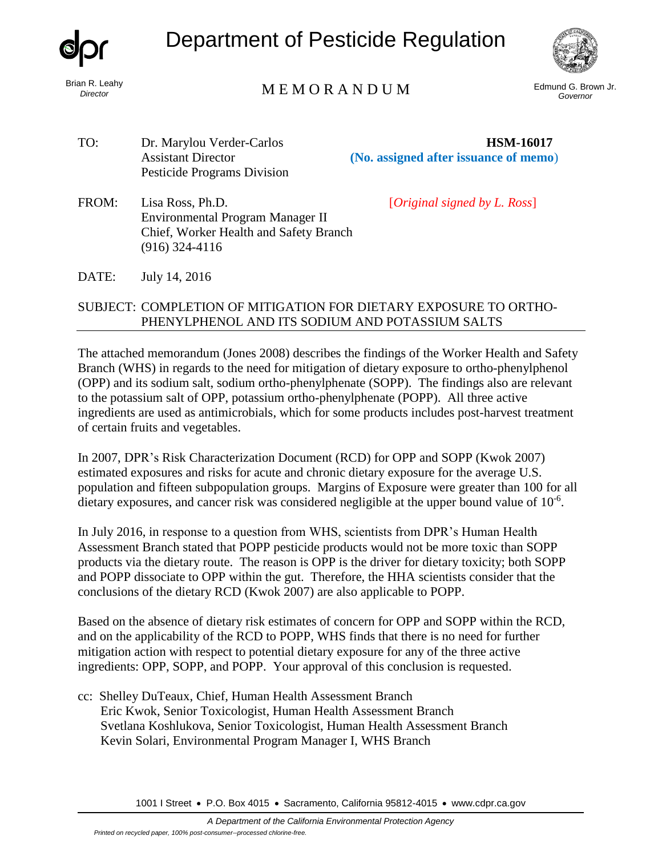

*Director*

# Department of Pesticide Regulation



### Edmund G. Brown Jr. M E M O R A N D U M *Governor*

TO: Dr. Marylou Verder-Carlos **HSM-16017** Pesticide Programs Division

Assistant Director **(No. assigned after issuance of memo**)

FROM: Lisa Ross, Ph.D. [*Original signed by L. Ross*] Environmental Program Manager II Chief, Worker Health and Safety Branch (916) 324-4116

DATE: July 14, 2016

### SUBJECT: COMPLETION OF MITIGATION FOR DIETARY EXPOSURE TO ORTHO-PHENYLPHENOL AND ITS SODIUM AND POTASSIUM SALTS

The attached memorandum (Jones 2008) describes the findings of the Worker Health and Safety Branch (WHS) in regards to the need for mitigation of dietary exposure to ortho-phenylphenol (OPP) and its sodium salt, sodium ortho-phenylphenate (SOPP). The findings also are relevant to the potassium salt of OPP, potassium ortho-phenylphenate (POPP). All three active ingredients are used as antimicrobials, which for some products includes post-harvest treatment of certain fruits and vegetables.

In 2007, DPR's Risk Characterization Document (RCD) for OPP and SOPP (Kwok 2007) estimated exposures and risks for acute and chronic dietary exposure for the average U.S. population and fifteen subpopulation groups. Margins of Exposure were greater than 100 for all dietary exposures, and cancer risk was considered negligible at the upper bound value of  $10^{-6}$ .

In July 2016, in response to a question from WHS, scientists from DPR's Human Health Assessment Branch stated that POPP pesticide products would not be more toxic than SOPP products via the dietary route. The reason is OPP is the driver for dietary toxicity; both SOPP and POPP dissociate to OPP within the gut. Therefore, the HHA scientists consider that the conclusions of the dietary RCD (Kwok 2007) are also applicable to POPP.

Based on the absence of dietary risk estimates of concern for OPP and SOPP within the RCD, and on the applicability of the RCD to POPP, WHS finds that there is no need for further mitigation action with respect to potential dietary exposure for any of the three active ingredients: OPP, SOPP, and POPP. Your approval of this conclusion is requested.

cc: Shelley DuTeaux, Chief, Human Health Assessment Branch Eric Kwok, Senior Toxicologist, Human Health Assessment Branch Svetlana Koshlukova, Senior Toxicologist, Human Health Assessment Branch Kevin Solari, Environmental Program Manager I, WHS Branch

1001 I Street • P.O. Box 4015 • Sacramento, California 95812-4015 • [www.cdpr.ca.gov](http://www.cdpr.ca.gov/)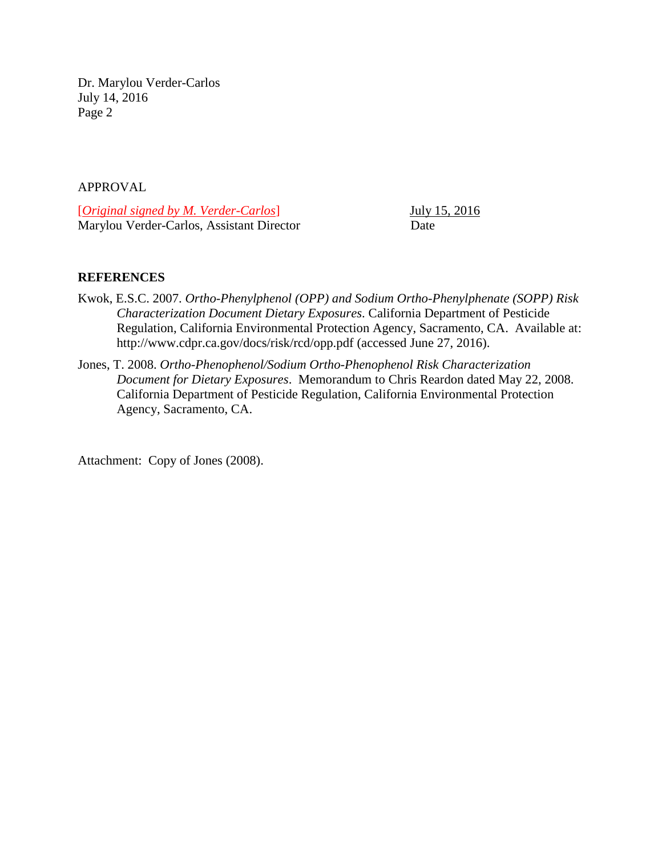Dr. Marylou Verder-Carlos July 14, 2016 Page 2

#### APPROVAL

[*Original signed by M. Verder-Carlos*] July 15, 2016 Marylou Verder-Carlos, Assistant Director Date

#### **REFERENCES**

- Kwok, E.S.C. 2007. *Ortho-Phenylphenol (OPP) and Sodium Ortho-Phenylphenate (SOPP) Risk Characterization Document Dietary Exposures*. California Department of Pesticide Regulation, California Environmental Protection Agency, Sacramento, CA. Available at: http://www.cdpr.ca.gov/docs/risk/rcd/opp.pdf (accessed June 27, 2016).
- Jones, T. 2008. *Ortho-Phenophenol/Sodium Ortho-Phenophenol Risk Characterization Document for Dietary Exposures*. Memorandum to Chris Reardon dated May 22, 2008. California Department of Pesticide Regulation, California Environmental Protection Agency, Sacramento, CA.

Attachment: Copy of Jones (2008).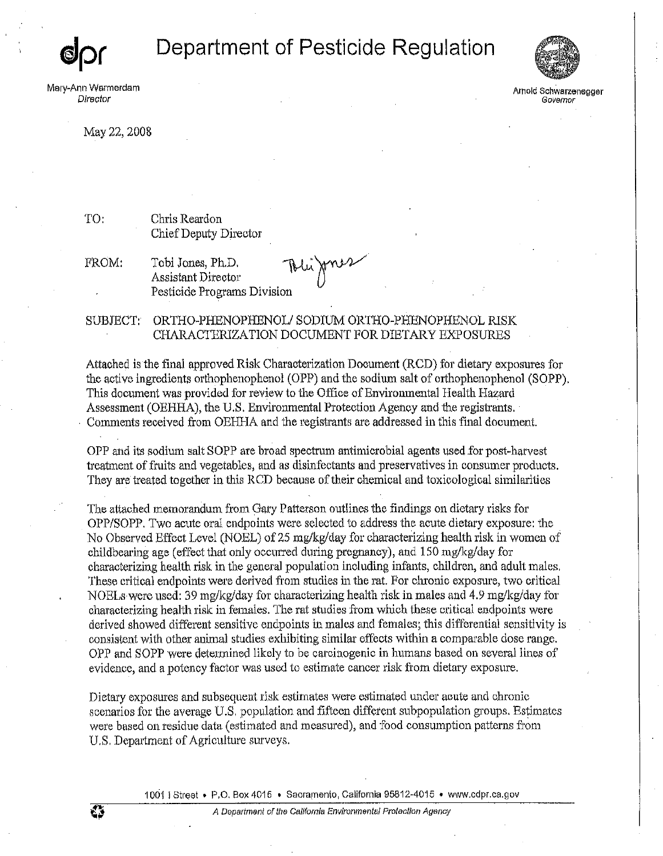## Department of Pesticide Regulation

Mary-Ann Warmerdam Director



Arnold Schwarzenegger Governor

May 22, 2008

Chris Reardon Chief Deputy Director

FROM:

έš

TO:

Tobi Jones, Ph.D. **Assistant Director** Pesticide Programs Division

Blijmes

#### SUBJECT: ORTHO-PHENOPHENOL/SODIUM ORTHO-PHENOPHENOL RISK CHARACTERIZATION DOCUMENT FOR DIETARY EXPOSURES

Attached is the final approved Risk Characterization Document (RCD) for dietary exposures for the active ingredients orthophenophenol (OPP) and the sodium salt of orthophenophenol (SOPP). This document was provided for review to the Office of Environmental Health Hazard Assessment (OEHHA), the U.S. Environmental Protection Agency and the registrants. Comments received from OEHHA and the registrants are addressed in this final document.

OPP and its sodium salt SOPP are broad spectrum antimicrobial agents used for post-harvest treatment of fruits and vegetables, and as disinfectants and preservatives in consumer products. They are treated together in this RCD because of their chemical and toxicological similarities

The attached memorandum from Gary Patterson outlines the findings on dietary risks for OPP/SOPP. Two acute oral endpoints were selected to address the acute dietary exposure: the No Observed Effect Level (NOEL) of 25 mg/kg/day for characterizing health risk in women of childbearing age (effect that only occurred during pregnancy), and 150 mg/kg/day for characterizing health risk in the general population including infants, children, and adult males. These critical endpoints were derived from studies in the rat. For chronic exposure, two critical NOELs were used: 39 mg/kg/day for characterizing health risk in males and 4.9 mg/kg/day for characterizing health risk in females. The rat studies from which these critical endpoints were derived showed different sensitive endpoints in males and females; this differential sensitivity is consistent with other animal studies exhibiting similar effects within a comparable dose range. OPP and SOPP were determined likely to be carcinogenic in humans based on several lines of evidence, and a potency factor was used to estimate cancer risk from dietary exposure.

Dietary exposures and subsequent risk estimates were estimated under acute and chronic scenarios for the average U.S. population and fifteen different subpopulation groups. Estimates were based on residue data (estimated and measured), and food consumption patterns from U.S. Department of Agriculture surveys.

1001 | Street • P.O. Box 4015 • Sacramento, California 95812-4015 • www.cdpr.ca.gov